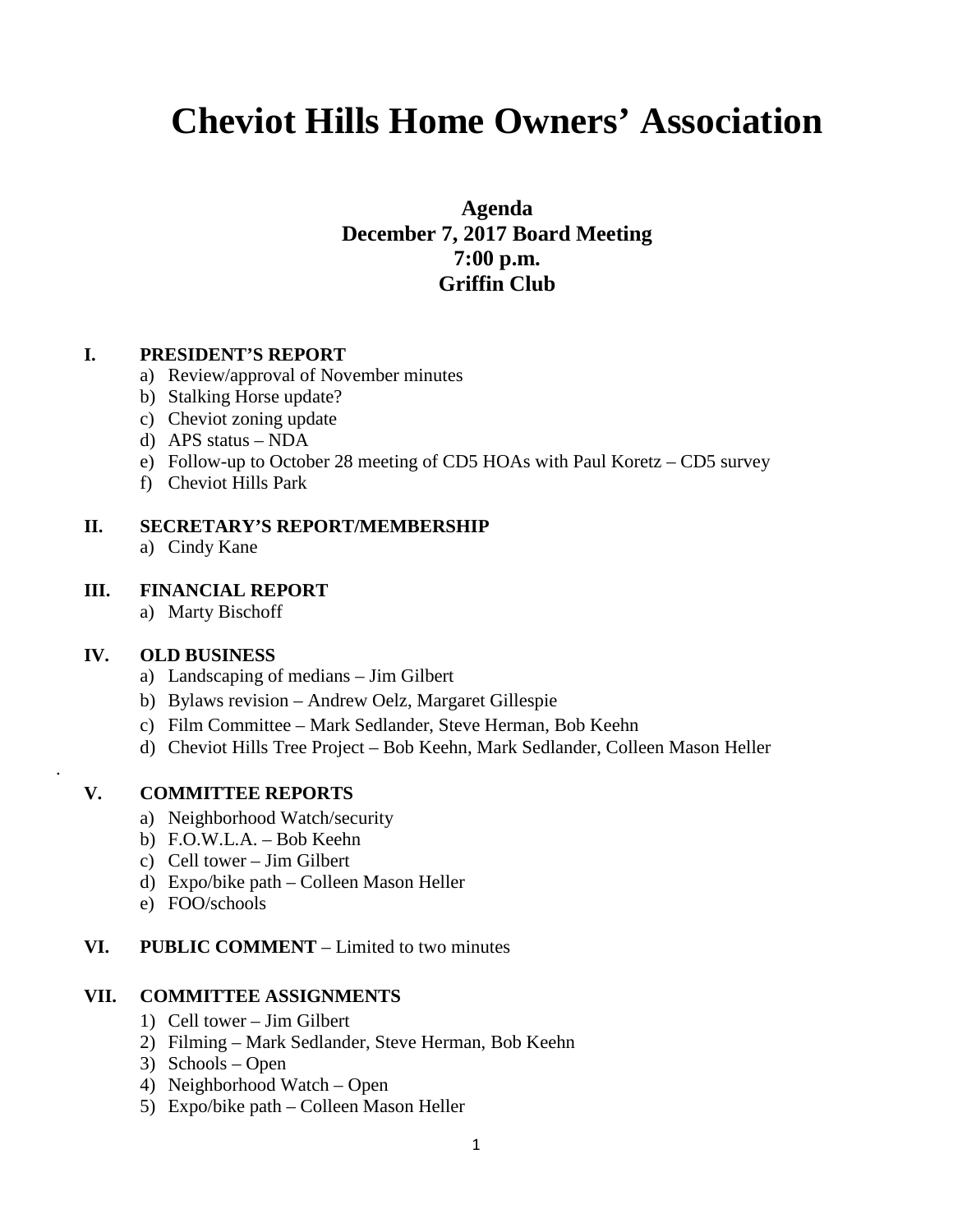# **Cheviot Hills Home Owners' Association**

**Agenda December 7, 2017 Board Meeting 7:00 p.m. Griffin Club**

# **I. PRESIDENT'S REPORT**

- a) Review/approval of November minutes
- b) Stalking Horse update?
- c) Cheviot zoning update
- d) APS status NDA
- e) Follow-up to October 28 meeting of CD5 HOAs with Paul Koretz CD5 survey
- f) Cheviot Hills Park

# **II. SECRETARY'S REPORT/MEMBERSHIP**

a) Cindy Kane

# **III. FINANCIAL REPORT**

a) Marty Bischoff

### **IV. OLD BUSINESS**

.

- a) Landscaping of medians Jim Gilbert
- b) Bylaws revision Andrew Oelz, Margaret Gillespie
- c) Film Committee Mark Sedlander, Steve Herman, Bob Keehn
- d) Cheviot Hills Tree Project Bob Keehn, Mark Sedlander, Colleen Mason Heller

### **V. COMMITTEE REPORTS**

- a) Neighborhood Watch/security
- b) F.O.W.L.A. Bob Keehn
- c) Cell tower Jim Gilbert
- d) Expo/bike path Colleen Mason Heller
- e) FOO/schools

### **VI. PUBLIC COMMENT** – Limited to two minutes

### **VII. COMMITTEE ASSIGNMENTS**

- 1) Cell tower Jim Gilbert
- 2) Filming Mark Sedlander, Steve Herman, Bob Keehn
- 3) Schools Open
- 4) Neighborhood Watch Open
- 5) Expo/bike path Colleen Mason Heller